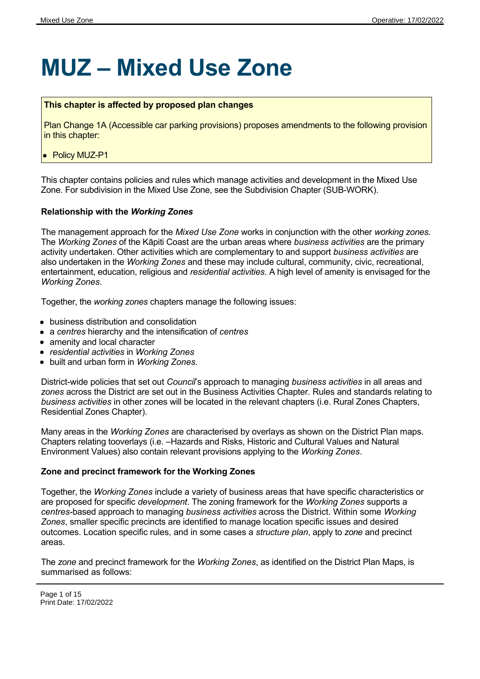# **MUZ – Mixed Use Zone**

#### **This chapter is affected by proposed plan changes**

Plan Change 1A (Accessible car parking provisions) proposes amendments to the following provision in this chapter:

• Policy MUZ-P1

This chapter contains policies and rules which manage activities and development in the Mixed Use Zone. For subdivision in the Mixed Use Zone, see the Subdivision Chapter (SUB-WORK).

#### **Relationship with the** *Working Zones*

The management approach for the *Mixed Use Zone* works in conjunction with the other *working zones.* The *Working Zones* of the Kāpiti Coast are the urban areas where *business activities* are the primary activity undertaken. Other activities which are complementary to and support *business activities* are also undertaken in the *Working Zones* and these may include cultural, community, civic, recreational, entertainment, education, religious and *residential activities*. A high level of amenity is envisaged for the *Working Zones*.

Together, the *working zones* chapters manage the following issues:

- business distribution and consolidation
- a *centres* hierarchy and the intensification of *centres*
- amenity and local character
- *residential activities* in *Working Zones*
- built and urban form in *Working Zones.*

District-wide policies that set out *Council*'s approach to managing *business activities* in all areas and *zones* across the District are set out in the Business Activities Chapter. Rules and standards relating to *business activities* in other zones will be located in the relevant chapters (i.e. Rural Zones Chapters, Residential Zones Chapter).

Many areas in the *Working Zones* are characterised by overlays as shown on the District Plan maps. Chapters relating tooverlays (i.e. –Hazards and Risks, Historic and Cultural Values and Natural Environment Values) also contain relevant provisions applying to the *Working Zones*.

#### **Zone and precinct framework for the Working Zones**

Together, the *Working Zones* include a variety of business areas that have specific characteristics or are proposed for specific *development*. The zoning framework for the *Working Zones* supports a *centres*-based approach to managing *business activities* across the District. Within some *Working Zones*, smaller specific precincts are identified to manage location specific issues and desired outcomes. Location specific rules, and in some cases a *structure plan*, apply to *zone* and precinct areas.

The *zone* and precinct framework for the *Working Zones*, as identified on the District Plan Maps, is summarised as follows: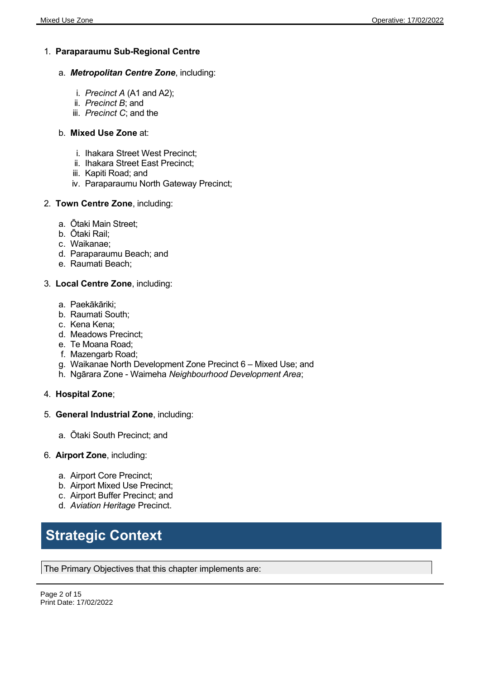#### 1. **Paraparaumu Sub-Regional Centre**

- a. *Metropolitan Centre Zone*, including:
	- i. *Precinct A* (A1 and A2);
	- ii. *Precinct B*; and
	- iii. *Precinct C*; and the

#### b. **Mixed Use Zone** at:

- i. Ihakara Street West Precinct;
- ii. Ihakara Street East Precinct;
- iii. Kapiti Road; and
- iv. Paraparaumu North Gateway Precinct;
- 2. **Town Centre Zone**, including:
	- a. Ōtaki Main Street;
	- b. Ōtaki Rail;
	- c. Waikanae;
	- d. Paraparaumu Beach; and
	- e. Raumati Beach;

#### 3. **Local Centre Zone**, including:

- a. Paekākāriki;
- b. Raumati South;
- c. Kena Kena;
- d. Meadows Precinct;
- e. Te Moana Road;
- f. Mazengarb Road;
- g. Waikanae North Development Zone Precinct 6 Mixed Use; and
- h. Ngārara Zone Waimeha *Neighbourhood Development Area*;
- 4. **Hospital Zone**;
- 5. **General Industrial Zone**, including:
	- a. Ōtaki South Precinct; and
- 6. **Airport Zone**, including:
	- a. Airport Core Precinct;
	- b. Airport Mixed Use Precinct;
	- c. Airport Buffer Precinct; and
	- d. *Aviation Heritage* Precinct.

## **Strategic Context**

The Primary Objectives that this chapter implements are: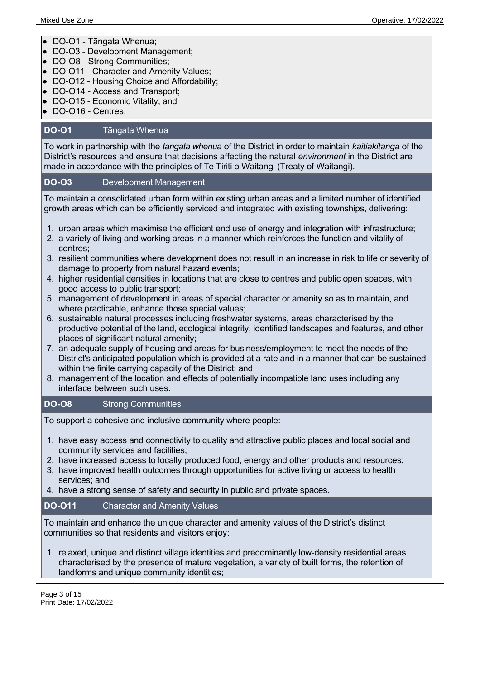- DO-O1 Tāngata Whenua;
- DO-O3 Development Management;
- DO-O8 Strong Communities;
- DO-O11 Character and Amenity Values;
- DO-O12 Housing Choice and Affordability;
- DO-O14 Access and Transport;
- DO-O15 Economic Vitality; and
- DO-O16 Centres.

#### **DO-O1** Tāngata Whenua

To work in partnership with the *tangata whenua* of the District in order to maintain *kaitiakitanga* of the District's resources and ensure that decisions affecting the natural *environment* in the District are made in accordance with the principles of Te Tiriti o Waitangi (Treaty of Waitangi).

#### **DO-O3** Development Management

To maintain a consolidated urban form within existing urban areas and a limited number of identified growth areas which can be efficiently serviced and integrated with existing townships, delivering:

- 1. urban areas which maximise the efficient end use of energy and integration with infrastructure;
- 2. a variety of living and working areas in a manner which reinforces the function and vitality of centres;
- 3. resilient communities where development does not result in an increase in risk to life or severity of damage to property from natural hazard events;
- 4. higher residential densities in locations that are close to centres and public open spaces, with good access to public transport;
- 5. management of development in areas of special character or amenity so as to maintain, and where practicable, enhance those special values;
- 6. sustainable natural processes including freshwater systems, areas characterised by the productive potential of the land, ecological integrity, identified landscapes and features, and other places of significant natural amenity;
- 7. an adequate supply of housing and areas for business/employment to meet the needs of the District's anticipated population which is provided at a rate and in a manner that can be sustained within the finite carrying capacity of the District; and
- 8. management of the location and effects of potentially incompatible land uses including any interface between such uses.

#### **DO-O8** Strong Communities

To support a cohesive and inclusive community where people:

- 1. have easy access and connectivity to quality and attractive public places and local social and community services and facilities;
- 2. have increased access to locally produced food, energy and other products and resources;
- 3. have improved health outcomes through opportunities for active living or access to health services; and
- 4. have a strong sense of safety and security in public and private spaces.

#### **DO-O11** Character and Amenity Values

To maintain and enhance the unique character and amenity values of the District's distinct communities so that residents and visitors enjoy:

1. relaxed, unique and distinct village identities and predominantly low-density residential areas characterised by the presence of mature vegetation, a variety of built forms, the retention of landforms and unique community identities;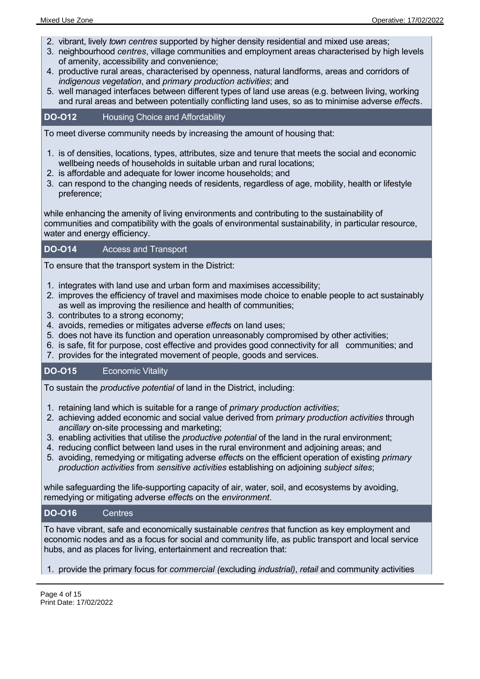- 2. vibrant, lively *town centres* supported by higher density residential and mixed use areas;
- 3. neighbourhood *centres*, village communities and employment areas characterised by high levels of amenity, accessibility and convenience;
- 4. productive rural areas, characterised by openness, natural landforms, areas and corridors of *indigenous vegetation*, and *primary production activities*; and
- 5. well managed interfaces between different types of land use areas (e.g. between living, working and rural areas and between potentially conflicting land uses, so as to minimise adverse *effect*s.

#### **DO-O12** Housing Choice and Affordability

To meet diverse community needs by increasing the amount of housing that:

- 1. is of densities, locations, types, attributes, size and tenure that meets the social and economic wellbeing needs of households in suitable urban and rural locations;
- 2. is affordable and adequate for lower income households; and
- 3. can respond to the changing needs of residents, regardless of age, mobility, health or lifestyle preference;

while enhancing the amenity of living environments and contributing to the sustainability of communities and compatibility with the goals of environmental sustainability, in particular resource, water and energy efficiency.

#### **DO-O14** Access and Transport

To ensure that the transport system in the District:

- 1. integrates with land use and urban form and maximises accessibility;
- 2. improves the efficiency of travel and maximises mode choice to enable people to act sustainably as well as improving the resilience and health of communities;
- 3. contributes to a strong economy;
- 4. avoids, remedies or mitigates adverse *effect*s on land uses;
- 5. does not have its function and operation unreasonably compromised by other activities;
- 6. is safe, fit for purpose, cost effective and provides good connectivity for all communities; and
- 7. provides for the integrated movement of people, goods and services.

#### **DO-O15** Economic Vitality

To sustain the *productive potential* of land in the District, including:

- 1. retaining land which is suitable for a range of *primary production activities*;
- 2. achieving added economic and social value derived from *primary production activities* through *ancillary* on-site processing and marketing;
- 3. enabling activities that utilise the *productive potential* of the land in the rural environment;
- 4. reducing conflict between land uses in the rural environment and adjoining areas; and
- 5. avoiding, remedying or mitigating adverse *effect*s on the efficient operation of existing *primary production activities* from *sensitive activities* establishing on adjoining *subject sites*;

while safeguarding the life-supporting capacity of air, water, soil, and ecosystems by avoiding, remedying or mitigating adverse *effect*s on the *environment*.

#### **DO-O16** Centres

To have vibrant, safe and economically sustainable *centres* that function as key employment and economic nodes and as a focus for social and community life, as public transport and local service hubs, and as places for living, entertainment and recreation that:

1. provide the primary focus for *commercial (*excluding *industrial)*, *retail* and community activities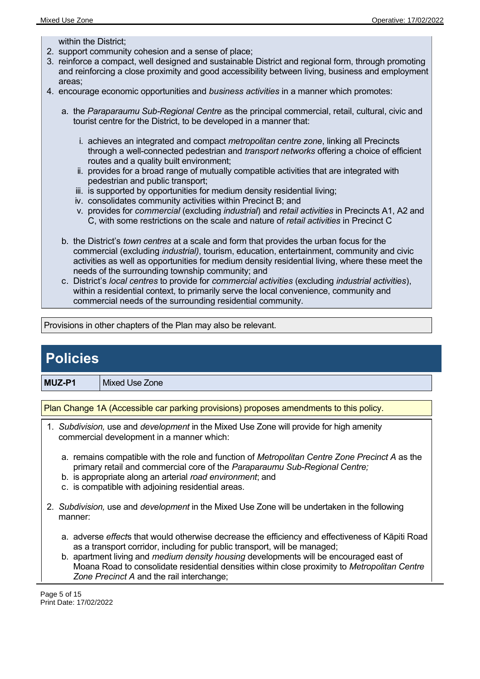within the District;

- 2. support community cohesion and a sense of place;
- 3. reinforce a compact, well designed and sustainable District and regional form, through promoting and reinforcing a close proximity and good accessibility between living, business and employment areas;
- 4. encourage economic opportunities and *business activities* in a manner which promotes:
	- a. the *Paraparaumu Sub-Regional Centre* as the principal commercial, retail, cultural, civic and tourist centre for the District, to be developed in a manner that:
		- i. achieves an integrated and compact *metropolitan centre zone*, linking all Precincts through a well-connected pedestrian and *transport networks* offering a choice of efficient routes and a quality built environment;
		- ii. provides for a broad range of mutually compatible activities that are integrated with pedestrian and public transport;
		- iii. is supported by opportunities for medium density residential living;
		- iv. consolidates community activities within Precinct B; and
		- v. provides for *commercial* (excluding *industrial*) and *retail activities* in Precincts A1, A2 and C, with some restrictions on the scale and nature of *retail activities* in Precinct C
	- b. the District's *town centres* at a scale and form that provides the urban focus for the commercial (excluding *industrial)*, tourism, education, entertainment, community and civic activities as well as opportunities for medium density residential living, where these meet the needs of the surrounding township community; and
	- c. District's *local centres* to provide for *commercial activities* (excluding *industrial activities*), within a residential context, to primarily serve the local convenience, community and commercial needs of the surrounding residential community.

Provisions in other chapters of the Plan may also be relevant.

### **Policies**

**MUZ-P1** Mixed Use Zone

Plan Change 1A (Accessible car parking provisions) proposes amendments to this policy.

- 1. *Subdivision,* use and *development* in the Mixed Use Zone will provide for high amenity commercial development in a manner which:
	- a. remains compatible with the role and function of *Metropolitan Centre Zone Precinct A* as the primary retail and commercial core of the *Paraparaumu Sub-Regional Centre;*
	- b. is appropriate along an arterial *road environment*; and
	- c. is compatible with adjoining residential areas.
- 2. *Subdivision,* use and *development* in the Mixed Use Zone will be undertaken in the following manner:
	- a. adverse *effect*s that would otherwise decrease the efficiency and effectiveness of Kāpiti Road as a transport corridor, including for public transport, will be managed;
	- b. apartment living and *medium density housing* developments will be encouraged east of Moana Road to consolidate residential densities within close proximity to *Metropolitan Centre Zone Precinct A* and the rail interchange;

Page 5 of 15 Print Date: 17/02/2022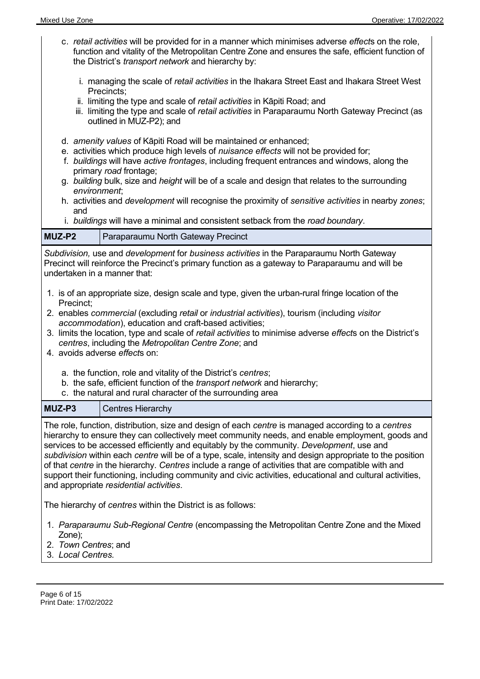- c. *retail activities* will be provided for in a manner which minimises adverse *effect*s on the role, function and vitality of the Metropolitan Centre Zone and ensures the safe, efficient function of the District's *transport network* and hierarchy by:
	- i. managing the scale of *retail activities* in the Ihakara Street East and Ihakara Street West Precincts;
	- ii. limiting the type and scale of *retail activities* in Kāpiti Road; and
	- iii. limiting the type and scale of *retail activities* in Paraparaumu North Gateway Precinct (as outlined in MUZ-P2); and
- d. *amenity values* of Kāpiti Road will be maintained or enhanced;
- e. activities which produce high levels of *nuisance effects* will not be provided for;
- f. *buildings* will have *active frontages*, including frequent entrances and windows, along the primary *road* frontage;
- g. *building* bulk, size and *height* will be of a scale and design that relates to the surrounding *environment*;
- h. activities and *development* will recognise the proximity of *sensitive activities* in nearby *zones*; and
- i. *buildings* will have a minimal and consistent setback from the *road boundary*.

| MUZ-P2 | Paraparaumu North Gateway Precinct |
|--------|------------------------------------|
|--------|------------------------------------|

*Subdivision,* use and *development* for *business activities* in the Paraparaumu North Gateway Precinct will reinforce the Precinct's primary function as a gateway to Paraparaumu and will be undertaken in a manner that:

- 1. is of an appropriate size, design scale and type, given the urban-rural fringe location of the Precinct;
- 2. enables *commercial* (excluding *retail* or *industrial activities*), tourism (including *visitor accommodation*), education and craft-based activities;
- 3. limits the location, type and scale of *retail activities* to minimise adverse *effect*s on the District's *centres*, including the *Metropolitan Centre Zone*; and
- 4. avoids adverse *effect*s on:
	- a. the function, role and vitality of the District's *centres*;
	- b. the safe, efficient function of the *transport network* and hierarchy;
	- c. the natural and rural character of the surrounding area

**MUZ-P3** Centres Hierarchy

The role, function, distribution, size and design of each *centre* is managed according to a *centres* hierarchy to ensure they can collectively meet community needs, and enable employment, goods and services to be accessed efficiently and equitably by the community. *Development*, use and *subdivision* within each *centre* will be of a type, scale, intensity and design appropriate to the position of that *centre* in the hierarchy. *Centres* include a range of activities that are compatible with and support their functioning, including community and civic activities, educational and cultural activities, and appropriate *residential activities*.

The hierarchy of *centres* within the District is as follows:

- 1. *Paraparaumu Sub-Regional Centre* (encompassing the Metropolitan Centre Zone and the Mixed Zone);
- 2. *Town Centres*; and
- 3. *Local Centres.*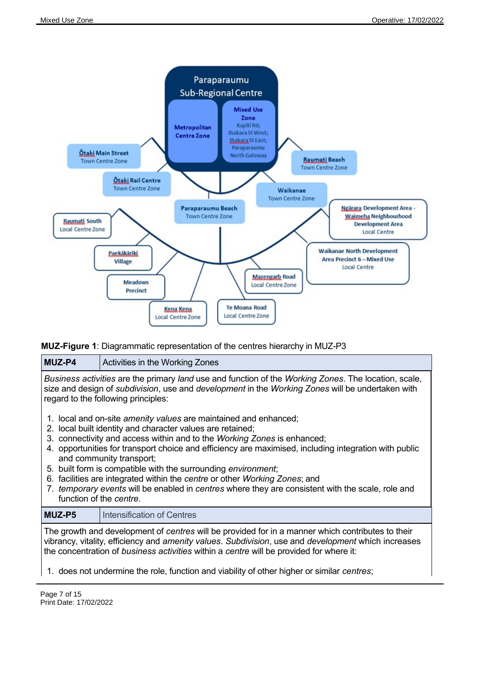

#### **MUZ-Figure 1**: Diagrammatic representation of the centres hierarchy in MUZ-P3

#### **MUZ-P4** Activities in the Working Zones

*Business activities* are the primary *land* use and function of the *Working Zones*. The location, scale, size and design of *subdivision*, use and *development* in the *Working Zones* will be undertaken with regard to the following principles:

- 1. local and on-site *amenity values* are maintained and enhanced;
- 2. local built identity and character values are retained;
- 3. connectivity and access within and to the *Working Zones* is enhanced;
- 4. opportunities for transport choice and efficiency are maximised, including integration with public and community transport;
- 5. built form is compatible with the surrounding *environment*;
- 6. facilities are integrated within the *centre* or other *Working Zones*; and
- 7. *temporary events* will be enabled in *centres* where they are consistent with the scale, role and function of the *centre*.

#### **MUZ-P5**  Intensification of Centres

The growth and development of *centres* will be provided for in a manner which contributes to their vibrancy, vitality, efficiency and *amenity values*. *Subdivision*, use and *development* which increases the concentration of *business activities* within a *centre* will be provided for where it:

1. does not undermine the role, function and viability of other higher or similar *centres*;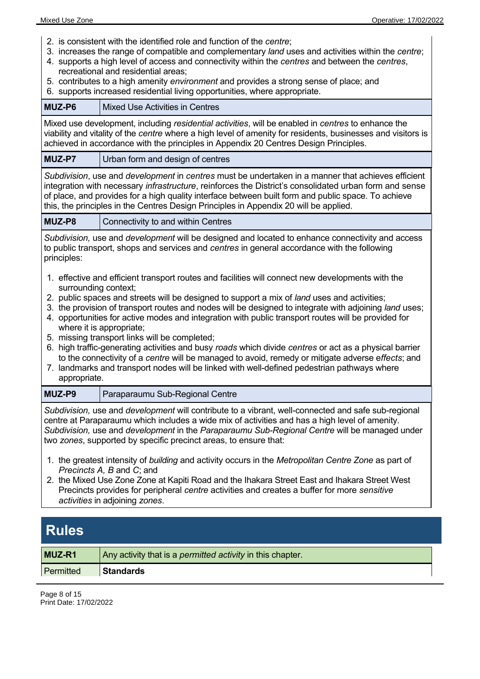- 2. is consistent with the identified role and function of the *centre*;
- 3. increases the range of compatible and complementary *land* uses and activities within the *centre*;
- 4. supports a high level of access and connectivity within the *centres* and between the *centres*, recreational and residential areas;
- 5. contributes to a high amenity *environment* and provides a strong sense of place; and
- 6. supports increased residential living opportunities, where appropriate.

| MUZ-P6                                                                                                                                                                                                                                                                                                                                                                                                                                                                                                                                                                                                                                                                                                                                            | <b>Mixed Use Activities in Centres</b>                                                                                                                                                                                                                                                                                                                                                                                                                                                                                                                                                                                                                                                                                                                                                                       |
|---------------------------------------------------------------------------------------------------------------------------------------------------------------------------------------------------------------------------------------------------------------------------------------------------------------------------------------------------------------------------------------------------------------------------------------------------------------------------------------------------------------------------------------------------------------------------------------------------------------------------------------------------------------------------------------------------------------------------------------------------|--------------------------------------------------------------------------------------------------------------------------------------------------------------------------------------------------------------------------------------------------------------------------------------------------------------------------------------------------------------------------------------------------------------------------------------------------------------------------------------------------------------------------------------------------------------------------------------------------------------------------------------------------------------------------------------------------------------------------------------------------------------------------------------------------------------|
| Mixed use development, including residential activities, will be enabled in centres to enhance the<br>viability and vitality of the centre where a high level of amenity for residents, businesses and visitors is<br>achieved in accordance with the principles in Appendix 20 Centres Design Principles.                                                                                                                                                                                                                                                                                                                                                                                                                                        |                                                                                                                                                                                                                                                                                                                                                                                                                                                                                                                                                                                                                                                                                                                                                                                                              |
| MUZ-P7                                                                                                                                                                                                                                                                                                                                                                                                                                                                                                                                                                                                                                                                                                                                            | Urban form and design of centres                                                                                                                                                                                                                                                                                                                                                                                                                                                                                                                                                                                                                                                                                                                                                                             |
|                                                                                                                                                                                                                                                                                                                                                                                                                                                                                                                                                                                                                                                                                                                                                   | Subdivision, use and development in centres must be undertaken in a manner that achieves efficient<br>integration with necessary <i>infrastructure</i> , reinforces the District's consolidated urban form and sense<br>of place, and provides for a high quality interface between built form and public space. To achieve<br>this, the principles in the Centres Design Principles in Appendix 20 will be applied.                                                                                                                                                                                                                                                                                                                                                                                         |
| MUZ-P8                                                                                                                                                                                                                                                                                                                                                                                                                                                                                                                                                                                                                                                                                                                                            | Connectivity to and within Centres                                                                                                                                                                                                                                                                                                                                                                                                                                                                                                                                                                                                                                                                                                                                                                           |
| principles:                                                                                                                                                                                                                                                                                                                                                                                                                                                                                                                                                                                                                                                                                                                                       | Subdivision, use and development will be designed and located to enhance connectivity and access<br>to public transport, shops and services and centres in general accordance with the following                                                                                                                                                                                                                                                                                                                                                                                                                                                                                                                                                                                                             |
| surrounding context;<br>appropriate.                                                                                                                                                                                                                                                                                                                                                                                                                                                                                                                                                                                                                                                                                                              | 1. effective and efficient transport routes and facilities will connect new developments with the<br>2. public spaces and streets will be designed to support a mix of land uses and activities;<br>3. the provision of transport routes and nodes will be designed to integrate with adjoining land uses;<br>4. opportunities for active modes and integration with public transport routes will be provided for<br>where it is appropriate;<br>5. missing transport links will be completed;<br>6. high traffic-generating activities and busy roads which divide centres or act as a physical barrier<br>to the connectivity of a centre will be managed to avoid, remedy or mitigate adverse effects; and<br>7. landmarks and transport nodes will be linked with well-defined pedestrian pathways where |
| MUZ-P9                                                                                                                                                                                                                                                                                                                                                                                                                                                                                                                                                                                                                                                                                                                                            | Paraparaumu Sub-Regional Centre                                                                                                                                                                                                                                                                                                                                                                                                                                                                                                                                                                                                                                                                                                                                                                              |
| Subdivision, use and development will contribute to a vibrant, well-connected and safe sub-regional<br>centre at Paraparaumu which includes a wide mix of activities and has a high level of amenity.<br>Subdivision, use and development in the Paraparaumu Sub-Regional Centre will be managed under<br>two zones, supported by specific precinct areas, to ensure that:<br>1. the greatest intensity of building and activity occurs in the Metropolitan Centre Zone as part of<br>Precincts A, B and C; and<br>2. the Mixed Use Zone Zone at Kapiti Road and the Ihakara Street East and Ihakara Street West<br>Precincts provides for peripheral centre activities and creates a buffer for more sensitive<br>activities in adjoining zones. |                                                                                                                                                                                                                                                                                                                                                                                                                                                                                                                                                                                                                                                                                                                                                                                                              |
| <b>Rules</b>                                                                                                                                                                                                                                                                                                                                                                                                                                                                                                                                                                                                                                                                                                                                      |                                                                                                                                                                                                                                                                                                                                                                                                                                                                                                                                                                                                                                                                                                                                                                                                              |

| MUZ-R1    | Any activity that is a <i>permitted activity</i> in this chapter. |  |
|-----------|-------------------------------------------------------------------|--|
| Permitted | <b>Standards</b>                                                  |  |

Page 8 of 15 Print Date: 17/02/2022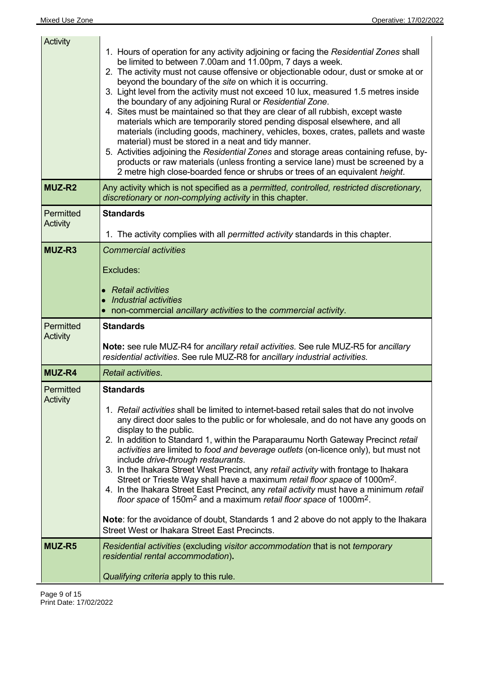| Activity              | 1. Hours of operation for any activity adjoining or facing the Residential Zones shall<br>be limited to between 7.00am and 11.00pm, 7 days a week.<br>2. The activity must not cause offensive or objectionable odour, dust or smoke at or<br>beyond the boundary of the site on which it is occurring.<br>3. Light level from the activity must not exceed 10 lux, measured 1.5 metres inside<br>the boundary of any adjoining Rural or Residential Zone.<br>4. Sites must be maintained so that they are clear of all rubbish, except waste<br>materials which are temporarily stored pending disposal elsewhere, and all<br>materials (including goods, machinery, vehicles, boxes, crates, pallets and waste<br>material) must be stored in a neat and tidy manner.<br>5. Activities adjoining the Residential Zones and storage areas containing refuse, by-<br>products or raw materials (unless fronting a service lane) must be screened by a<br>2 metre high close-boarded fence or shrubs or trees of an equivalent height. |
|-----------------------|---------------------------------------------------------------------------------------------------------------------------------------------------------------------------------------------------------------------------------------------------------------------------------------------------------------------------------------------------------------------------------------------------------------------------------------------------------------------------------------------------------------------------------------------------------------------------------------------------------------------------------------------------------------------------------------------------------------------------------------------------------------------------------------------------------------------------------------------------------------------------------------------------------------------------------------------------------------------------------------------------------------------------------------|
| <b>MUZ-R2</b>         | Any activity which is not specified as a permitted, controlled, restricted discretionary,<br>discretionary or non-complying activity in this chapter.                                                                                                                                                                                                                                                                                                                                                                                                                                                                                                                                                                                                                                                                                                                                                                                                                                                                                 |
| Permitted<br>Activity | <b>Standards</b>                                                                                                                                                                                                                                                                                                                                                                                                                                                                                                                                                                                                                                                                                                                                                                                                                                                                                                                                                                                                                      |
|                       | 1. The activity complies with all <i>permitted activity</i> standards in this chapter.                                                                                                                                                                                                                                                                                                                                                                                                                                                                                                                                                                                                                                                                                                                                                                                                                                                                                                                                                |
| MUZ-R3                | <b>Commercial activities</b>                                                                                                                                                                                                                                                                                                                                                                                                                                                                                                                                                                                                                                                                                                                                                                                                                                                                                                                                                                                                          |
|                       | Excludes:                                                                                                                                                                                                                                                                                                                                                                                                                                                                                                                                                                                                                                                                                                                                                                                                                                                                                                                                                                                                                             |
|                       | $\bullet$ Retail activities                                                                                                                                                                                                                                                                                                                                                                                                                                                                                                                                                                                                                                                                                                                                                                                                                                                                                                                                                                                                           |
|                       | • Industrial activities<br>• non-commercial ancillary activities to the commercial activity.                                                                                                                                                                                                                                                                                                                                                                                                                                                                                                                                                                                                                                                                                                                                                                                                                                                                                                                                          |
|                       |                                                                                                                                                                                                                                                                                                                                                                                                                                                                                                                                                                                                                                                                                                                                                                                                                                                                                                                                                                                                                                       |
| Permitted             | <b>Standards</b>                                                                                                                                                                                                                                                                                                                                                                                                                                                                                                                                                                                                                                                                                                                                                                                                                                                                                                                                                                                                                      |
| Activity              | Note: see rule MUZ-R4 for ancillary retail activities. See rule MUZ-R5 for ancillary<br>residential activities. See rule MUZ-R8 for ancillary industrial activities.                                                                                                                                                                                                                                                                                                                                                                                                                                                                                                                                                                                                                                                                                                                                                                                                                                                                  |
| <b>MUZ-R4</b>         | Retail activities.                                                                                                                                                                                                                                                                                                                                                                                                                                                                                                                                                                                                                                                                                                                                                                                                                                                                                                                                                                                                                    |
| Permitted             | <b>Standards</b>                                                                                                                                                                                                                                                                                                                                                                                                                                                                                                                                                                                                                                                                                                                                                                                                                                                                                                                                                                                                                      |
| Activity              | 1. Retail activities shall be limited to internet-based retail sales that do not involve<br>any direct door sales to the public or for wholesale, and do not have any goods on<br>display to the public.<br>2. In addition to Standard 1, within the Paraparaumu North Gateway Precinct retail<br>activities are limited to food and beverage outlets (on-licence only), but must not<br>include drive-through restaurants.<br>3. In the Ihakara Street West Precinct, any retail activity with frontage to Ihakara<br>Street or Trieste Way shall have a maximum retail floor space of 1000m <sup>2</sup> .<br>4. In the Ihakara Street East Precinct, any retail activity must have a minimum retail<br>floor space of 150m <sup>2</sup> and a maximum retail floor space of 1000m <sup>2</sup> .<br><b>Note:</b> for the avoidance of doubt, Standards 1 and 2 above do not apply to the Ihakara                                                                                                                                   |
| MUZ-R5                | <b>Street West or Ihakara Street East Precincts.</b><br>Residential activities (excluding visitor accommodation that is not temporary                                                                                                                                                                                                                                                                                                                                                                                                                                                                                                                                                                                                                                                                                                                                                                                                                                                                                                 |

 $\overline{\phantom{a}}$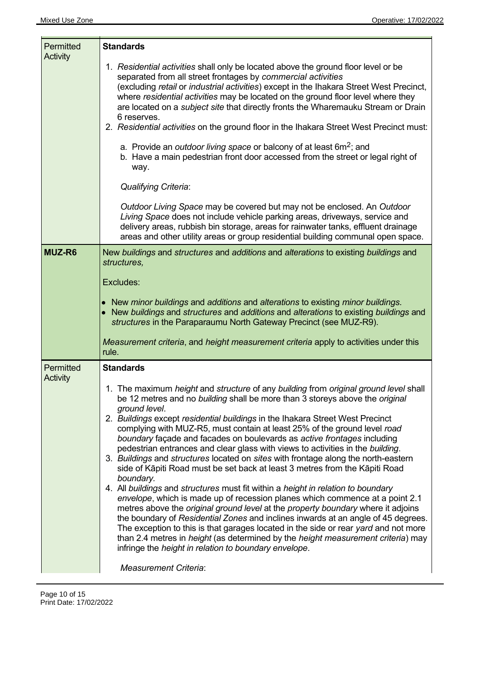| Permitted<br>Activity | <b>Standards</b>                                                                                                                                                                                                                                                                                                                                                                                                                                                                                                                                                                                                                                                                                                                                                                                                                                                                                                                                                                                                                                                                                                                                                                                                                                                                                                                                 |
|-----------------------|--------------------------------------------------------------------------------------------------------------------------------------------------------------------------------------------------------------------------------------------------------------------------------------------------------------------------------------------------------------------------------------------------------------------------------------------------------------------------------------------------------------------------------------------------------------------------------------------------------------------------------------------------------------------------------------------------------------------------------------------------------------------------------------------------------------------------------------------------------------------------------------------------------------------------------------------------------------------------------------------------------------------------------------------------------------------------------------------------------------------------------------------------------------------------------------------------------------------------------------------------------------------------------------------------------------------------------------------------|
|                       | 1. Residential activities shall only be located above the ground floor level or be<br>separated from all street frontages by commercial activities<br>(excluding retail or industrial activities) except in the Ihakara Street West Precinct,<br>where residential activities may be located on the ground floor level where they<br>are located on a <i>subject site</i> that directly fronts the Wharemauku Stream or Drain<br>6 reserves.<br>2. Residential activities on the ground floor in the Ihakara Street West Precinct must:<br>a. Provide an <i>outdoor living space</i> or balcony of at least $6m^2$ ; and<br>b. Have a main pedestrian front door accessed from the street or legal right of<br>way.                                                                                                                                                                                                                                                                                                                                                                                                                                                                                                                                                                                                                              |
|                       | <b>Qualifying Criteria:</b>                                                                                                                                                                                                                                                                                                                                                                                                                                                                                                                                                                                                                                                                                                                                                                                                                                                                                                                                                                                                                                                                                                                                                                                                                                                                                                                      |
|                       | Outdoor Living Space may be covered but may not be enclosed. An Outdoor<br>Living Space does not include vehicle parking areas, driveways, service and<br>delivery areas, rubbish bin storage, areas for rainwater tanks, effluent drainage<br>areas and other utility areas or group residential building communal open space.                                                                                                                                                                                                                                                                                                                                                                                                                                                                                                                                                                                                                                                                                                                                                                                                                                                                                                                                                                                                                  |
| MUZ-R6                | New buildings and structures and additions and alterations to existing buildings and<br>structures.                                                                                                                                                                                                                                                                                                                                                                                                                                                                                                                                                                                                                                                                                                                                                                                                                                                                                                                                                                                                                                                                                                                                                                                                                                              |
|                       | Excludes:                                                                                                                                                                                                                                                                                                                                                                                                                                                                                                                                                                                                                                                                                                                                                                                                                                                                                                                                                                                                                                                                                                                                                                                                                                                                                                                                        |
|                       | • New minor buildings and additions and alterations to existing minor buildings.<br>• New buildings and structures and additions and alterations to existing buildings and<br>structures in the Paraparaumu North Gateway Precinct (see MUZ-R9).                                                                                                                                                                                                                                                                                                                                                                                                                                                                                                                                                                                                                                                                                                                                                                                                                                                                                                                                                                                                                                                                                                 |
|                       | Measurement criteria, and height measurement criteria apply to activities under this<br>rule.                                                                                                                                                                                                                                                                                                                                                                                                                                                                                                                                                                                                                                                                                                                                                                                                                                                                                                                                                                                                                                                                                                                                                                                                                                                    |
| Permitted<br>Activity | <b>Standards</b>                                                                                                                                                                                                                                                                                                                                                                                                                                                                                                                                                                                                                                                                                                                                                                                                                                                                                                                                                                                                                                                                                                                                                                                                                                                                                                                                 |
|                       | 1. The maximum height and structure of any building from original ground level shall<br>be 12 metres and no building shall be more than 3 storeys above the original<br>ground level.<br>2. Buildings except residential buildings in the Ihakara Street West Precinct<br>complying with MUZ-R5, must contain at least 25% of the ground level road<br>boundary façade and facades on boulevards as active frontages including<br>pedestrian entrances and clear glass with views to activities in the building.<br>3. Buildings and structures located on sites with frontage along the north-eastern<br>side of Kāpiti Road must be set back at least 3 metres from the Kāpiti Road<br>boundary.<br>4. All buildings and structures must fit within a height in relation to boundary<br>envelope, which is made up of recession planes which commence at a point 2.1<br>metres above the <i>original ground level</i> at the <i>property boundary</i> where it adjoins<br>the boundary of Residential Zones and inclines inwards at an angle of 45 degrees.<br>The exception to this is that garages located in the side or rear yard and not more<br>than 2.4 metres in <i>height</i> (as determined by the <i>height measurement criteria</i> ) may<br>infringe the height in relation to boundary envelope.<br><b>Measurement Criteria:</b> |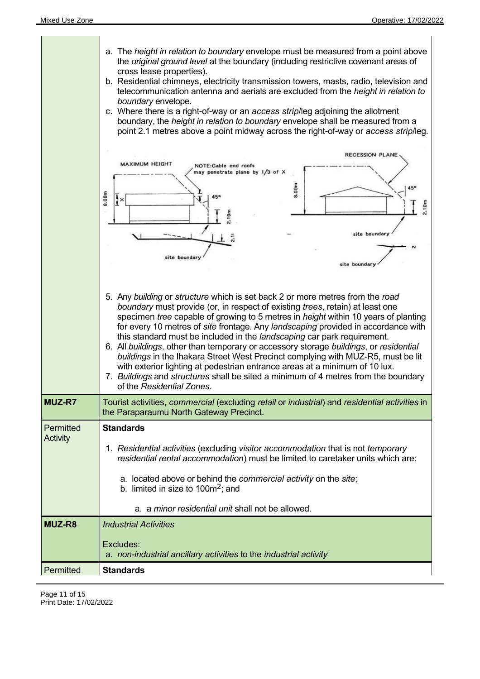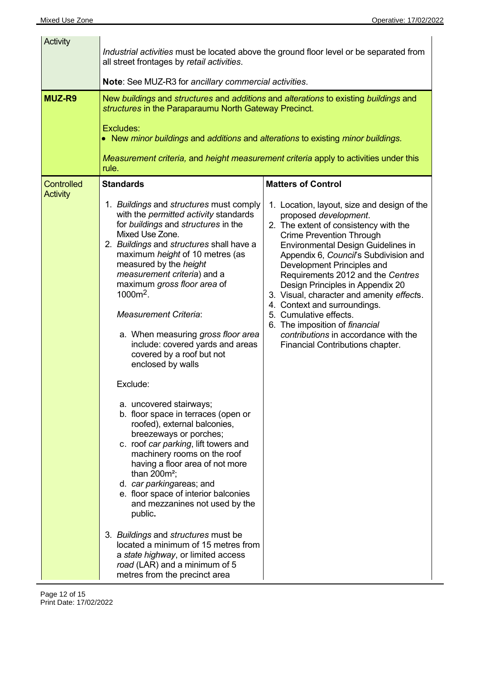| Activity          | all street frontages by retail activities.                                                                                                                                                                                                                                                                                                                                                                                                                                                                                                                                                                                                                                                                                                                                                                                                                                                                                       | Industrial activities must be located above the ground floor level or be separated from                                                                                                                                                                                                                                                                                                                                                                                                                                                                            |
|-------------------|----------------------------------------------------------------------------------------------------------------------------------------------------------------------------------------------------------------------------------------------------------------------------------------------------------------------------------------------------------------------------------------------------------------------------------------------------------------------------------------------------------------------------------------------------------------------------------------------------------------------------------------------------------------------------------------------------------------------------------------------------------------------------------------------------------------------------------------------------------------------------------------------------------------------------------|--------------------------------------------------------------------------------------------------------------------------------------------------------------------------------------------------------------------------------------------------------------------------------------------------------------------------------------------------------------------------------------------------------------------------------------------------------------------------------------------------------------------------------------------------------------------|
|                   | Note: See MUZ-R3 for ancillary commercial activities.                                                                                                                                                                                                                                                                                                                                                                                                                                                                                                                                                                                                                                                                                                                                                                                                                                                                            |                                                                                                                                                                                                                                                                                                                                                                                                                                                                                                                                                                    |
| <b>MUZ-R9</b>     | New buildings and structures and additions and alterations to existing buildings and<br>structures in the Paraparaumu North Gateway Precinct.<br>Excludes:<br>• New minor buildings and additions and alterations to existing minor buildings.<br>Measurement criteria, and height measurement criteria apply to activities under this<br>rule.                                                                                                                                                                                                                                                                                                                                                                                                                                                                                                                                                                                  |                                                                                                                                                                                                                                                                                                                                                                                                                                                                                                                                                                    |
| <b>Controlled</b> | <b>Standards</b>                                                                                                                                                                                                                                                                                                                                                                                                                                                                                                                                                                                                                                                                                                                                                                                                                                                                                                                 | <b>Matters of Control</b>                                                                                                                                                                                                                                                                                                                                                                                                                                                                                                                                          |
| <b>Activity</b>   | 1. Buildings and structures must comply<br>with the <i>permitted activity</i> standards<br>for buildings and structures in the<br>Mixed Use Zone.<br>2. Buildings and structures shall have a<br>maximum height of 10 metres (as<br>measured by the height<br>measurement criteria) and a<br>maximum gross floor area of<br>$1000m^2$ .<br><b>Measurement Criteria:</b><br>a. When measuring gross floor area<br>include: covered yards and areas<br>covered by a roof but not<br>enclosed by walls<br>Exclude:<br>a. uncovered stairways;<br>b. floor space in terraces (open or<br>roofed), external balconies,<br>breezeways or porches;<br>c. roof car parking, lift towers and<br>machinery rooms on the roof<br>having a floor area of not more<br>than $200m^2$ ;<br>d. car parkingareas; and<br>e. floor space of interior balconies<br>and mezzanines not used by the<br>public.<br>3. Buildings and structures must be | 1. Location, layout, size and design of the<br>proposed development.<br>2. The extent of consistency with the<br><b>Crime Prevention Through</b><br><b>Environmental Design Guidelines in</b><br>Appendix 6, Council's Subdivision and<br>Development Principles and<br>Requirements 2012 and the Centres<br>Design Principles in Appendix 20<br>3. Visual, character and amenity effects.<br>4. Context and surroundings.<br>5. Cumulative effects.<br>6. The imposition of financial<br>contributions in accordance with the<br>Financial Contributions chapter. |
|                   | located a minimum of 15 metres from<br>a state highway, or limited access<br>road (LAR) and a minimum of 5<br>metres from the precinct area                                                                                                                                                                                                                                                                                                                                                                                                                                                                                                                                                                                                                                                                                                                                                                                      |                                                                                                                                                                                                                                                                                                                                                                                                                                                                                                                                                                    |

Page 12 of 15 Print Date: 17/02/2022

 $\overline{a}$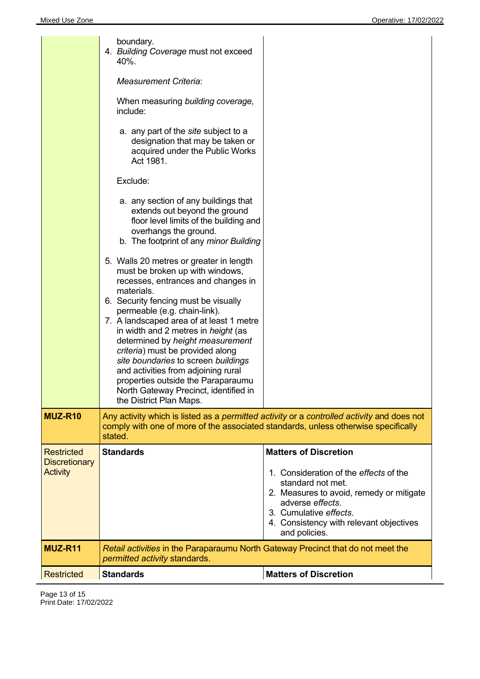|                                                              | boundary.<br>4. Building Coverage must not exceed<br>40%.<br><b>Measurement Criteria:</b><br>When measuring building coverage,<br>include:<br>a. any part of the site subject to a<br>designation that may be taken or<br>acquired under the Public Works<br>Act 1981.<br>Exclude:<br>a. any section of any buildings that<br>extends out beyond the ground<br>floor level limits of the building and<br>overhangs the ground.<br>b. The footprint of any minor Building<br>5. Walls 20 metres or greater in length<br>must be broken up with windows,<br>recesses, entrances and changes in<br>materials.<br>6. Security fencing must be visually<br>permeable (e.g. chain-link).<br>7. A landscaped area of at least 1 metre<br>in width and 2 metres in <i>height</i> (as<br>determined by height measurement<br>criteria) must be provided along<br>site boundaries to screen buildings<br>and activities from adjoining rural<br>properties outside the Paraparaumu<br>North Gateway Precinct, identified in<br>the District Plan Maps. |                                                                                                                                                                                                                                                   |
|--------------------------------------------------------------|----------------------------------------------------------------------------------------------------------------------------------------------------------------------------------------------------------------------------------------------------------------------------------------------------------------------------------------------------------------------------------------------------------------------------------------------------------------------------------------------------------------------------------------------------------------------------------------------------------------------------------------------------------------------------------------------------------------------------------------------------------------------------------------------------------------------------------------------------------------------------------------------------------------------------------------------------------------------------------------------------------------------------------------------|---------------------------------------------------------------------------------------------------------------------------------------------------------------------------------------------------------------------------------------------------|
| MUZ-R10                                                      | comply with one of more of the associated standards, unless otherwise specifically<br>stated.                                                                                                                                                                                                                                                                                                                                                                                                                                                                                                                                                                                                                                                                                                                                                                                                                                                                                                                                                | Any activity which is listed as a permitted activity or a controlled activity and does not                                                                                                                                                        |
| <b>Restricted</b><br><b>Discretionary</b><br><b>Activity</b> | <b>Standards</b>                                                                                                                                                                                                                                                                                                                                                                                                                                                                                                                                                                                                                                                                                                                                                                                                                                                                                                                                                                                                                             | <b>Matters of Discretion</b><br>1. Consideration of the effects of the<br>standard not met.<br>2. Measures to avoid, remedy or mitigate<br>adverse effects.<br>3. Cumulative effects.<br>4. Consistency with relevant objectives<br>and policies. |
| MUZ-R11                                                      | Retail activities in the Paraparaumu North Gateway Precinct that do not meet the<br><i>permitted activity</i> standards.                                                                                                                                                                                                                                                                                                                                                                                                                                                                                                                                                                                                                                                                                                                                                                                                                                                                                                                     |                                                                                                                                                                                                                                                   |
| <b>Restricted</b>                                            | <b>Standards</b>                                                                                                                                                                                                                                                                                                                                                                                                                                                                                                                                                                                                                                                                                                                                                                                                                                                                                                                                                                                                                             | <b>Matters of Discretion</b>                                                                                                                                                                                                                      |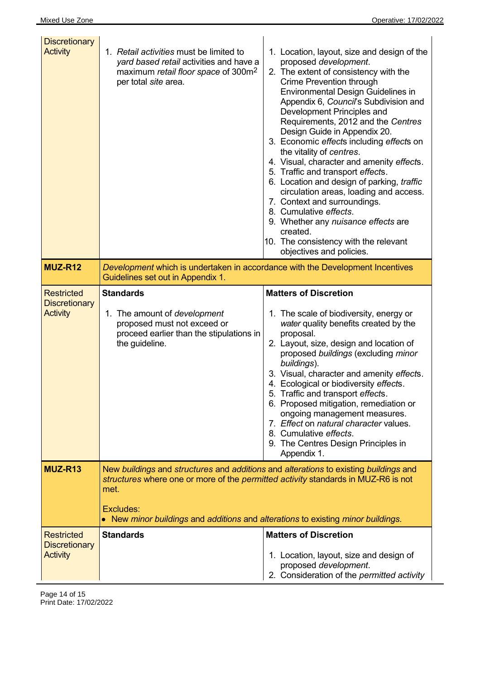| <b>Discretionary</b><br><b>Activity</b><br>MUZ-R12           | 1. Retail activities must be limited to<br>yard based retail activities and have a<br>maximum retail floor space of 300m <sup>2</sup><br>per total site area.<br>Development which is undertaken in accordance with the Development Incentives                                     | 1. Location, layout, size and design of the<br>proposed development.<br>2. The extent of consistency with the<br><b>Crime Prevention through</b><br>Environmental Design Guidelines in<br>Appendix 6, Council's Subdivision and<br>Development Principles and<br>Requirements, 2012 and the Centres<br>Design Guide in Appendix 20.<br>3. Economic effects including effects on<br>the vitality of centres.<br>4. Visual, character and amenity effects.<br>5. Traffic and transport effects.<br>6. Location and design of parking, traffic<br>circulation areas, loading and access.<br>7. Context and surroundings.<br>8. Cumulative effects.<br>9. Whether any nuisance effects are<br>created.<br>10. The consistency with the relevant<br>objectives and policies. |
|--------------------------------------------------------------|------------------------------------------------------------------------------------------------------------------------------------------------------------------------------------------------------------------------------------------------------------------------------------|-------------------------------------------------------------------------------------------------------------------------------------------------------------------------------------------------------------------------------------------------------------------------------------------------------------------------------------------------------------------------------------------------------------------------------------------------------------------------------------------------------------------------------------------------------------------------------------------------------------------------------------------------------------------------------------------------------------------------------------------------------------------------|
| <b>Restricted</b>                                            | Guidelines set out in Appendix 1.<br><b>Standards</b>                                                                                                                                                                                                                              | <b>Matters of Discretion</b>                                                                                                                                                                                                                                                                                                                                                                                                                                                                                                                                                                                                                                                                                                                                            |
| <b>Discretionary</b><br><b>Activity</b>                      | 1. The amount of <i>development</i><br>proposed must not exceed or<br>proceed earlier than the stipulations in<br>the guideline.                                                                                                                                                   | 1. The scale of biodiversity, energy or<br>water quality benefits created by the<br>proposal.<br>2. Layout, size, design and location of<br>proposed buildings (excluding minor<br>buildings).<br>3. Visual, character and amenity effects.<br>4. Ecological or biodiversity effects.<br>5. Traffic and transport effects.<br>6. Proposed mitigation, remediation or<br>ongoing management measures.<br>7. Effect on natural character values.<br>8. Cumulative effects.<br>9. The Centres Design Principles in<br>Appendix 1.                                                                                                                                                                                                                                          |
| MUZ-R13                                                      | New buildings and structures and additions and alterations to existing buildings and<br>structures where one or more of the permitted activity standards in MUZ-R6 is not<br>met.<br>Excludes:<br>• New minor buildings and additions and alterations to existing minor buildings. |                                                                                                                                                                                                                                                                                                                                                                                                                                                                                                                                                                                                                                                                                                                                                                         |
| <b>Restricted</b><br><b>Discretionary</b><br><b>Activity</b> | <b>Standards</b>                                                                                                                                                                                                                                                                   | <b>Matters of Discretion</b><br>1. Location, layout, size and design of<br>proposed development.<br>2. Consideration of the permitted activity                                                                                                                                                                                                                                                                                                                                                                                                                                                                                                                                                                                                                          |

Page 14 of 15 Print Date: 17/02/2022

 $\overline{a}$